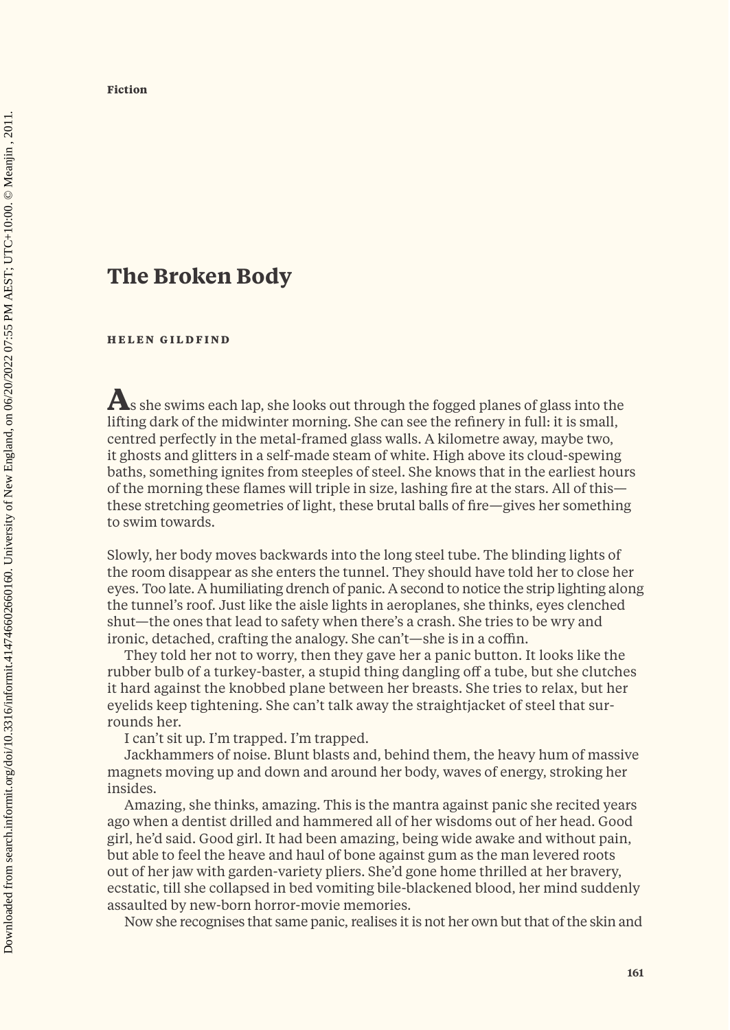## **The Broken Body**

**HELEN GILDFIND**

**A**s she swims each lap, she looks out through the fogged planes of glass into the lifting dark of the midwinter morning. She can see the refinery in full: it is small, centred perfectly in the metal-framed glass walls. A kilometre away, maybe two, it ghosts and glitters in a self-made steam of white. High above its cloud-spewing baths, something ignites from steeples of steel. She knows that in the earliest hours of the morning these flames will triple in size, lashing fire at the stars. All of this these stretching geometries of light, these brutal balls of fire—gives her something to swim towards.

Slowly, her body moves backwards into the long steel tube. The blinding lights of the room disappear as she enters the tunnel. They should have told her to close her eyes. Too late. A humiliating drench of panic. A second to notice the strip lighting along the tunnel's roof. Just like the aisle lights in aeroplanes, she thinks, eyes clenched shut—the ones that lead to safety when there's a crash. She tries to be wry and ironic, detached, crafting the analogy. She can't—she is in a coffin.

They told her not to worry, then they gave her a panic button. It looks like the rubber bulb of a turkey-baster, a stupid thing dangling off a tube, but she clutches it hard against the knobbed plane between her breasts. She tries to relax, but her eyelids keep tightening. She can't talk away the straightjacket of steel that surrounds her.

I can't sit up. I'm trapped. I'm trapped.

Jackhammers of noise. Blunt blasts and, behind them, the heavy hum of massive magnets moving up and down and around her body, waves of energy, stroking her insides.

Amazing, she thinks, amazing. This is the mantra against panic she recited years ago when a dentist drilled and hammered all of her wisdoms out of her head. Good girl, he'd said. Good girl. It had been amazing, being wide awake and without pain, but able to feel the heave and haul of bone against gum as the man levered roots out of her jaw with garden-variety pliers. She'd gone home thrilled at her bravery, ecstatic, till she collapsed in bed vomiting bile-blackened blood, her mind suddenly assaulted by new-born horror-movie memories.

Now she recognises that same panic, realises it is not her own but that of the skin and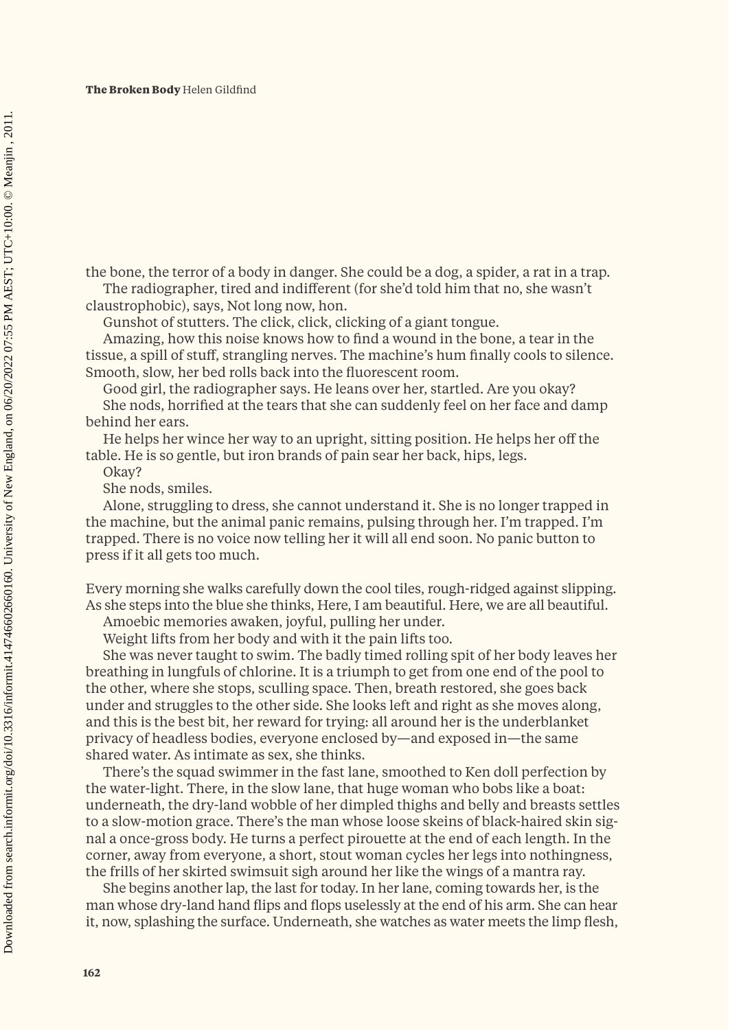**The Broken Body** Helen Gildfind

the bone, the terror of a body in danger. She could be a dog, a spider, a rat in a trap. The radiographer, tired and indifferent (for she'd told him that no, she wasn't

claustrophobic), says, Not long now, hon.

Gunshot of stutters. The click, click, clicking of a giant tongue.

Amazing, how this noise knows how to find a wound in the bone, a tear in the tissue, a spill of stuff, strangling nerves. The machine's hum finally cools to silence. Smooth, slow, her bed rolls back into the fluorescent room.

Good girl, the radiographer says. He leans over her, startled. Are you okay? She nods, horrified at the tears that she can suddenly feel on her face and damp behind her ears.

He helps her wince her way to an upright, sitting position. He helps her off the table. He is so gentle, but iron brands of pain sear her back, hips, legs.

Okay? She nods, smiles.

Alone, struggling to dress, she cannot understand it. She is no longer trapped in the machine, but the animal panic remains, pulsing through her. I'm trapped. I'm trapped. There is no voice now telling her it will all end soon. No panic button to press if it all gets too much.

Every morning she walks carefully down the cool tiles, rough-ridged against slipping. As she steps into the blue she thinks, Here, I am beautiful. Here, we are all beautiful.

Amoebic memories awaken, joyful, pulling her under.

Weight lifts from her body and with it the pain lifts too.

She was never taught to swim. The badly timed rolling spit of her body leaves her breathing in lungfuls of chlorine. It is a triumph to get from one end of the pool to the other, where she stops, sculling space. Then, breath restored, she goes back under and struggles to the other side. She looks left and right as she moves along, and this is the best bit, her reward for trying: all around her is the underblanket privacy of headless bodies, everyone enclosed by—and exposed in—the same shared water. As intimate as sex, she thinks.

There's the squad swimmer in the fast lane, smoothed to Ken doll perfection by the water-light. There, in the slow lane, that huge woman who bobs like a boat: underneath, the dry-land wobble of her dimpled thighs and belly and breasts settles to a slow-motion grace. There's the man whose loose skeins of black-haired skin signal a once-gross body. He turns a perfect pirouette at the end of each length. In the corner, away from everyone, a short, stout woman cycles her legs into nothingness, the frills of her skirted swimsuit sigh around her like the wings of a mantra ray.

She begins another lap, the last for today. In her lane, coming towards her, is the man whose dry-land hand flips and flops uselessly at the end of his arm. She can hear it, now, splashing the surface. Underneath, she watches as water meets the limp flesh,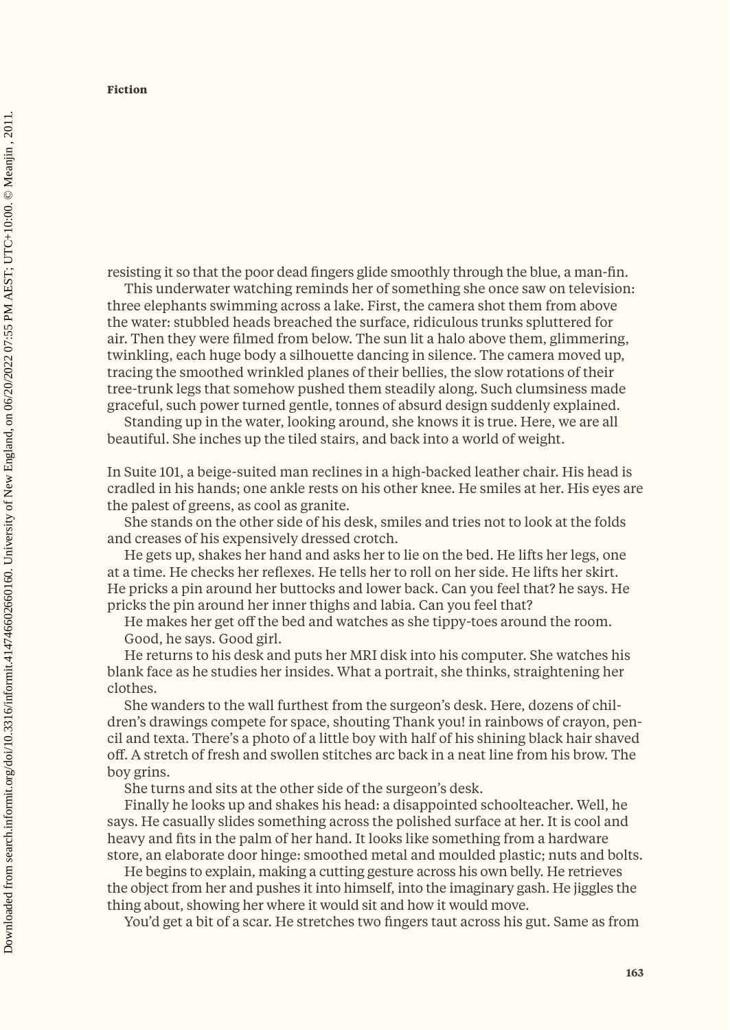resisting it so that the poor dead fingers glide smoothly through the blue, a man-fin.

This underwater watching reminds her of something she once saw on television: three elephants swimming across a lake. First, the camera shot them from above the water: stubbled heads breached the surface, ridiculous trunks spluttered for air. Then they were filmed from below. The sun lit a halo above them, glimmering, twinkling, each huge body a silhouette dancing in silence. The camera moved up, tracing the smoothed wrinkled planes of their bellies, the slow rotations of their tree-trunk legs that somehow pushed them steadily along. Such clumsiness made graceful, such power turned gentle, tonnes of absurd design suddenly explained.

Standing up in the water, looking around, she knows it is true. Here, we are all beautiful. She inches up the tiled stairs, and back into a world of weight.

In Suite 101, a beige-suited man reclines in a high-backed leather chair. His head is cradled in his hands; one ankle rests on his other knee. He smiles at her. His eyes are the palest of greens, as cool as granite.

She stands on the other side of his desk, smiles and tries not to look at the folds and creases of his expensively dressed crotch.

He gets up, shakes her hand and asks her to lie on the bed. He lifts her legs, one at a time. He checks her reflexes. He tells her to roll on her side. He lifts her skirt. He pricks a pin around her buttocks and lower back. Can you feel that? he says. He pricks the pin around her inner thighs and labia. Can you feel that?

He makes her get off the bed and watches as she tippy-toes around the room. Good, he says. Good girl.

He returns to his desk and puts her MRI disk into his computer. She watches his blank face as he studies her insides. What a portrait, she thinks, straightening her clothes.

She wanders to the wall furthest from the surgeon's desk. Here, dozens of children's drawings compete for space, shouting Thank you! in rainbows of crayon, pencil and texta. There's a photo of a little boy with half of his shining black hair shaved off. A stretch of fresh and swollen stitches arc back in a neat line from his brow. The boy grins.

She turns and sits at the other side of the surgeon's desk.

Finally he looks up and shakes his head: a disappointed schoolteacher. Well, he says. He casually slides something across the polished surface at her. It is cool and heavy and fits in the palm of her hand. It looks like something from a hardware store, an elaborate door hinge: smoothed metal and moulded plastic; nuts and bolts.

He begins to explain, making a cutting gesture across his own belly. He retrieves the object from her and pushes it into himself, into the imaginary gash. He jiggles the thing about, showing her where it would sit and how it would move.

You'd get a bit of a scar. He stretches two fingers taut across his gut. Same as from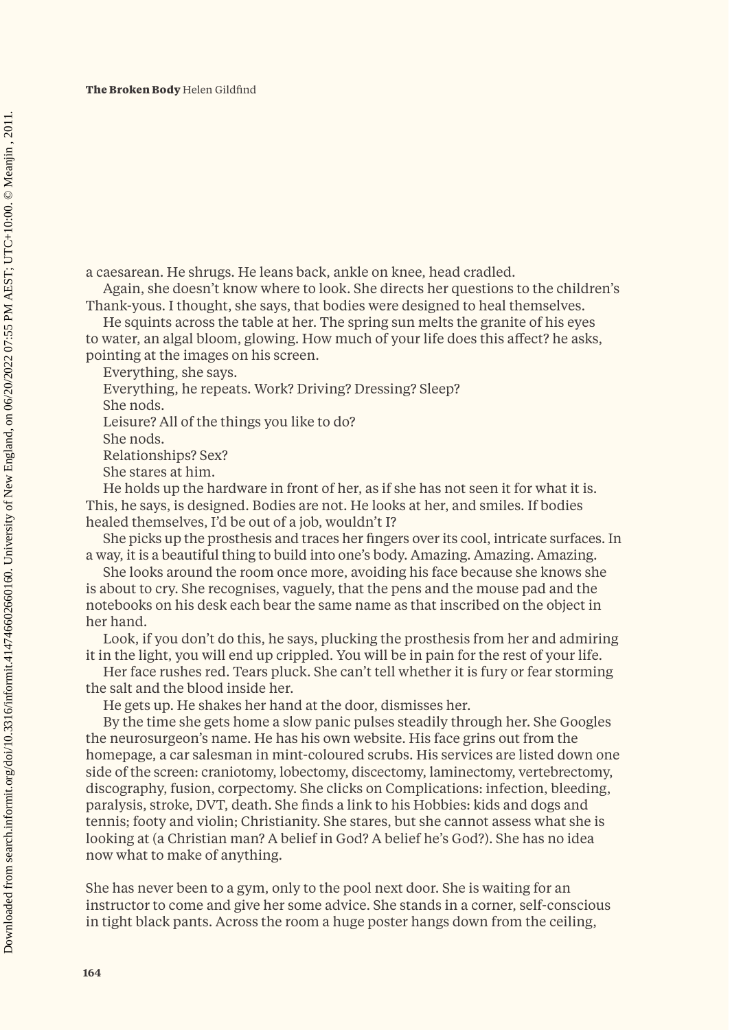**The Broken Body** Helen Gildfind

a caesarean. He shrugs. He leans back, ankle on knee, head cradled.

Again, she doesn't know where to look. She directs her questions to the children's Thank-yous. I thought, she says, that bodies were designed to heal themselves.

He squints across the table at her. The spring sun melts the granite of his eyes to water, an algal bloom, glowing. How much of your life does this affect? he asks, pointing at the images on his screen.

Everything, she says.

Everything, he repeats. Work? Driving? Dressing? Sleep?

She nods.

Leisure? All of the things you like to do?

She nods.

Relationships? Sex?

She stares at him.

He holds up the hardware in front of her, as if she has not seen it for what it is. This, he says, is designed. Bodies are not. He looks at her, and smiles. If bodies healed themselves, I'd be out of a job, wouldn't I?

She picks up the prosthesis and traces her fingers over its cool, intricate surfaces. In a way, it is a beautiful thing to build into one's body. Amazing. Amazing. Amazing.

She looks around the room once more, avoiding his face because she knows she is about to cry. She recognises, vaguely, that the pens and the mouse pad and the notebooks on his desk each bear the same name as that inscribed on the object in her hand.

Look, if you don't do this, he says, plucking the prosthesis from her and admiring it in the light, you will end up crippled. You will be in pain for the rest of your life.

Her face rushes red. Tears pluck. She can't tell whether it is fury or fear storming the salt and the blood inside her.

He gets up. He shakes her hand at the door, dismisses her.

By the time she gets home a slow panic pulses steadily through her. She Googles the neurosurgeon's name. He has his own website. His face grins out from the homepage, a car salesman in mint-coloured scrubs. His services are listed down one side of the screen: craniotomy, lobectomy, discectomy, laminectomy, vertebrectomy, discography, fusion, corpectomy. She clicks on Complications: infection, bleeding, paralysis, stroke, DVT, death. She finds a link to his Hobbies: kids and dogs and tennis; footy and violin; Christianity. She stares, but she cannot assess what she is looking at (a Christian man? A belief in God? A belief he's God?). She has no idea now what to make of anything.

She has never been to a gym, only to the pool next door. She is waiting for an instructor to come and give her some advice. She stands in a corner, self-conscious in tight black pants. Across the room a huge poster hangs down from the ceiling,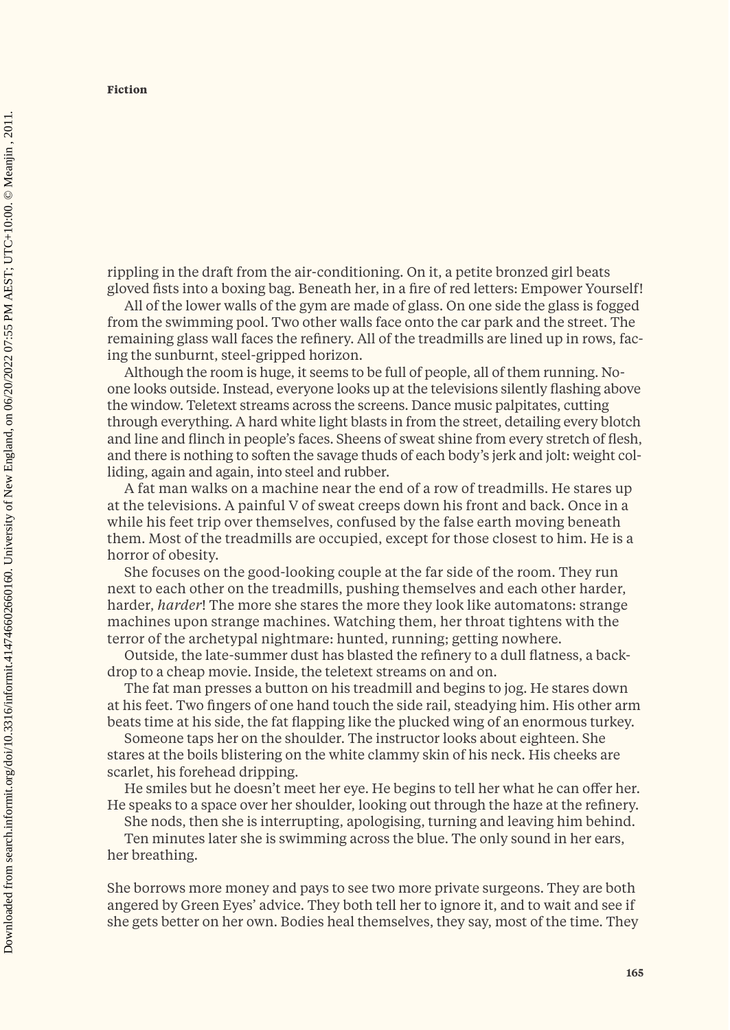rippling in the draft from the air-conditioning. On it, a petite bronzed girl beats gloved fists into a boxing bag. Beneath her, in a fire of red letters: Empower Yourself!

All of the lower walls of the gym are made of glass. On one side the glass is fogged from the swimming pool. Two other walls face onto the car park and the street. The remaining glass wall faces the refinery. All of the treadmills are lined up in rows, facing the sunburnt, steel-gripped horizon.

Although the room is huge, it seems to be full of people, all of them running. Noone looks outside. Instead, everyone looks up at the televisions silently flashing above the window. Teletext streams across the screens. Dance music palpitates, cutting through everything. A hard white light blasts in from the street, detailing every blotch and line and flinch in people's faces. Sheens of sweat shine from every stretch of flesh, and there is nothing to soften the savage thuds of each body's jerk and jolt: weight colliding, again and again, into steel and rubber.

A fat man walks on a machine near the end of a row of treadmills. He stares up at the televisions. A painful V of sweat creeps down his front and back. Once in a while his feet trip over themselves, confused by the false earth moving beneath them. Most of the treadmills are occupied, except for those closest to him. He is a horror of obesity.

She focuses on the good-looking couple at the far side of the room. They run next to each other on the treadmills, pushing themselves and each other harder, harder, *harder*! The more she stares the more they look like automatons: strange machines upon strange machines. Watching them, her throat tightens with the terror of the archetypal nightmare: hunted, running; getting nowhere.

Outside, the late-summer dust has blasted the refinery to a dull flatness, a backdrop to a cheap movie. Inside, the teletext streams on and on.

The fat man presses a button on his treadmill and begins to jog. He stares down at his feet. Two fingers of one hand touch the side rail, steadying him. His other arm beats time at his side, the fat flapping like the plucked wing of an enormous turkey.

Someone taps her on the shoulder. The instructor looks about eighteen. She stares at the boils blistering on the white clammy skin of his neck. His cheeks are scarlet, his forehead dripping.

He smiles but he doesn't meet her eye. He begins to tell her what he can offer her. He speaks to a space over her shoulder, looking out through the haze at the refinery.

She nods, then she is interrupting, apologising, turning and leaving him behind.

Ten minutes later she is swimming across the blue. The only sound in her ears, her breathing.

She borrows more money and pays to see two more private surgeons. They are both angered by Green Eyes' advice. They both tell her to ignore it, and to wait and see if she gets better on her own. Bodies heal themselves, they say, most of the time. They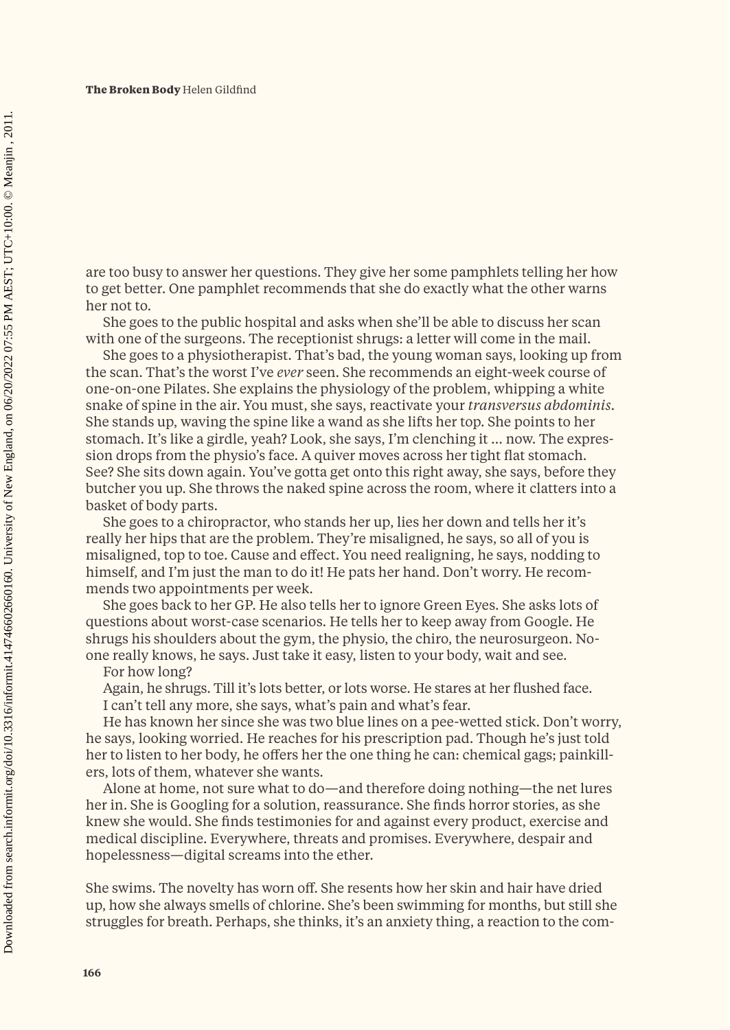are too busy to answer her questions. They give her some pamphlets telling her how to get better. One pamphlet recommends that she do exactly what the other warns her not to.

She goes to the public hospital and asks when she'll be able to discuss her scan with one of the surgeons. The receptionist shrugs: a letter will come in the mail.

She goes to a physiotherapist. That's bad, the young woman says, looking up from the scan. That's the worst I've *ever* seen. She recommends an eight-week course of one-on-one Pilates. She explains the physiology of the problem, whipping a white snake of spine in the air. You must, she says, reactivate your *transversus abdominis*. She stands up, waving the spine like a wand as she lifts her top. She points to her stomach. It's like a girdle, yeah? Look, she says, I'm clenching it … now. The expression drops from the physio's face. A quiver moves across her tight flat stomach. See? She sits down again. You've gotta get onto this right away, she says, before they butcher you up. She throws the naked spine across the room, where it clatters into a basket of body parts.

She goes to a chiropractor, who stands her up, lies her down and tells her it's really her hips that are the problem. They're misaligned, he says, so all of you is misaligned, top to toe. Cause and effect. You need realigning, he says, nodding to himself, and I'm just the man to do it! He pats her hand. Don't worry. He recommends two appointments per week.

She goes back to her GP. He also tells her to ignore Green Eyes. She asks lots of questions about worst-case scenarios. He tells her to keep away from Google. He shrugs his shoulders about the gym, the physio, the chiro, the neurosurgeon. Noone really knows, he says. Just take it easy, listen to your body, wait and see.

For how long?

Again, he shrugs. Till it's lots better, or lots worse. He stares at her flushed face. I can't tell any more, she says, what's pain and what's fear.

He has known her since she was two blue lines on a pee-wetted stick. Don't worry, he says, looking worried. He reaches for his prescription pad. Though he's just told her to listen to her body, he offers her the one thing he can: chemical gags; painkillers, lots of them, whatever she wants.

Alone at home, not sure what to do—and therefore doing nothing—the net lures her in. She is Googling for a solution, reassurance. She finds horror stories, as she knew she would. She finds testimonies for and against every product, exercise and medical discipline. Everywhere, threats and promises. Everywhere, despair and hopelessness—digital screams into the ether.

She swims. The novelty has worn off. She resents how her skin and hair have dried up, how she always smells of chlorine. She's been swimming for months, but still she struggles for breath. Perhaps, she thinks, it's an anxiety thing, a reaction to the com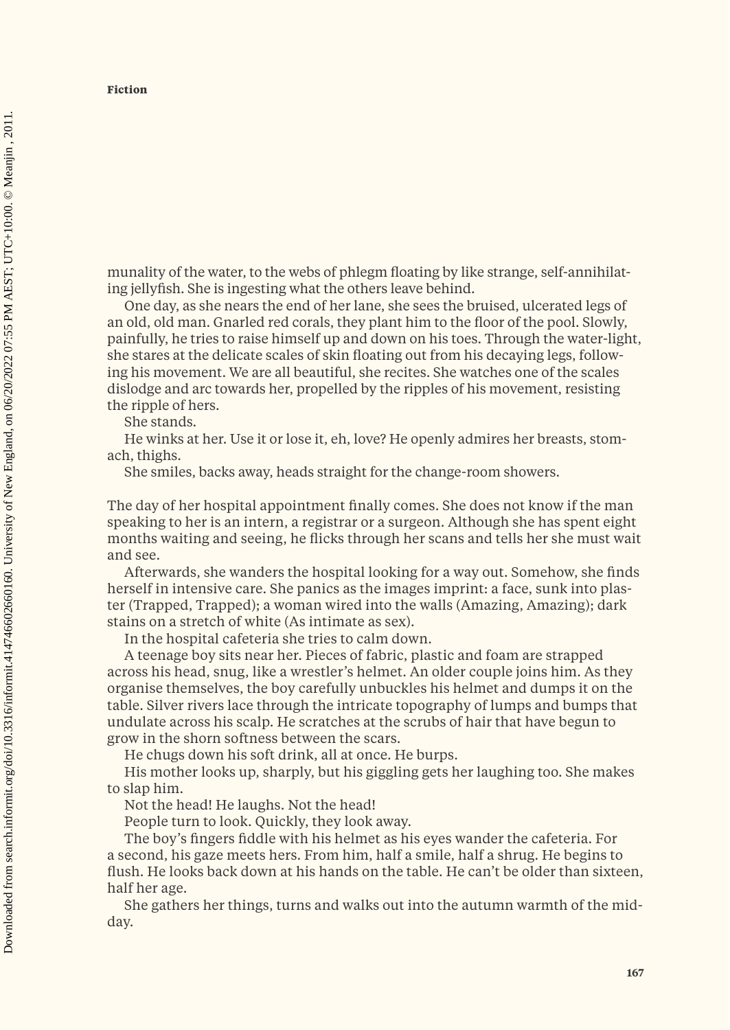**Fiction**

munality of the water, to the webs of phlegm floating by like strange, self-annihilating jellyfish. She is ingesting what the others leave behind.

One day, as she nears the end of her lane, she sees the bruised, ulcerated legs of an old, old man. Gnarled red corals, they plant him to the floor of the pool. Slowly, painfully, he tries to raise himself up and down on his toes. Through the water-light, she stares at the delicate scales of skin floating out from his decaying legs, following his movement. We are all beautiful, she recites. She watches one of the scales dislodge and arc towards her, propelled by the ripples of his movement, resisting the ripple of hers.

She stands.

He winks at her. Use it or lose it, eh, love? He openly admires her breasts, stomach, thighs.

She smiles, backs away, heads straight for the change-room showers.

The day of her hospital appointment finally comes. She does not know if the man speaking to her is an intern, a registrar or a surgeon. Although she has spent eight months waiting and seeing, he flicks through her scans and tells her she must wait and see.

Afterwards, she wanders the hospital looking for a way out. Somehow, she finds herself in intensive care. She panics as the images imprint: a face, sunk into plaster (Trapped, Trapped); a woman wired into the walls (Amazing, Amazing); dark stains on a stretch of white (As intimate as sex).

In the hospital cafeteria she tries to calm down.

A teenage boy sits near her. Pieces of fabric, plastic and foam are strapped across his head, snug, like a wrestler's helmet. An older couple joins him. As they organise themselves, the boy carefully unbuckles his helmet and dumps it on the table. Silver rivers lace through the intricate topography of lumps and bumps that undulate across his scalp. He scratches at the scrubs of hair that have begun to grow in the shorn softness between the scars.

He chugs down his soft drink, all at once. He burps.

His mother looks up, sharply, but his giggling gets her laughing too. She makes to slap him.

Not the head! He laughs. Not the head!

People turn to look. Quickly, they look away.

The boy's fingers fiddle with his helmet as his eyes wander the cafeteria. For a second, his gaze meets hers. From him, half a smile, half a shrug. He begins to flush. He looks back down at his hands on the table. He can't be older than sixteen, half her age.

She gathers her things, turns and walks out into the autumn warmth of the midday.